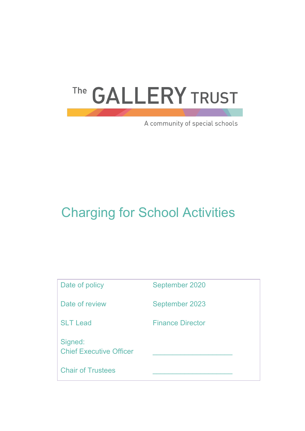# The GALLERY TRUST

A community of special schools

# Charging for School Activities

| Date of policy                            | September 2020          |
|-------------------------------------------|-------------------------|
| Date of review                            | September 2023          |
| <b>SLT Lead</b>                           | <b>Finance Director</b> |
| Signed:<br><b>Chief Executive Officer</b> |                         |
| <b>Chair of Trustees</b>                  |                         |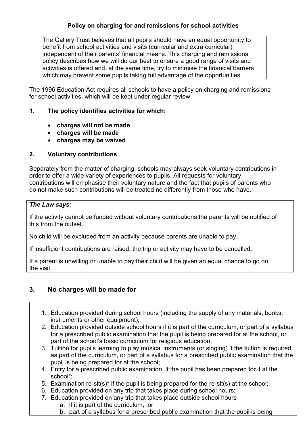#### **Policy on charging for and remissions for school activities**

The Gallery Trust believes that all pupils should have an equal opportunity to benefit from school activities and visits (curricular and extra curricular) independent of their parents' financial means. This charging and remissions policy describes how we will do our best to ensure a good range of visits and activities is offered and, at the same time, try to minimise the financial barriers which may prevent some pupils taking full advantage of the opportunities.

The 1996 Education Act requires all schools to have a policy on charging and remissions for school activities, which will be kept under regular review.

#### **1. The policy identifies activities for which:**

- **charges will not be made**
- **charges will be made**
- **charges may be waived**

#### **2. Voluntary contributions**

Separately from the matter of charging, schools may always seek voluntary contributions in order to offer a wide variety of experiences to pupils. All requests for voluntary contributions will emphasise their voluntary nature and the fact that pupils of parents who do not make such contributions will be treated no differently from those who have.

#### *The Law says:*

If the activity cannot be funded without voluntary contributions the parents will be notified of this from the outset.

No child will be excluded from an activity because parents are unable to pay.

If insufficient contributions are raised, the trip or activity may have to be cancelled.

If a parent is unwilling or unable to pay their child will be given an equal chance to go on the visit.

## **3. No charges will be made for**

- 1. Education provided during school hours (including the supply of any materials, books, instruments or other equipment);
- 2. Education provided outside school hours if it is part of the curriculum, or part of a syllabus for a prescribed public examination that the pupil is being prepared for at the school, or part of the school's basic curriculum for religious education;
- 3. Tuition for pupils learning to play musical instruments (or singing) if the tuition is required as part of the curriculum, or part of a syllabus for a prescribed public examination that the pupil is being prepared for at the school;
- 4. Entry for a prescribed public examination, if the pupil has been prepared for it at the school\*;
- 5. Examination re-sit(s)\* if the pupil is being prepared for the re-sit(s) at the school;
- 6. Education provided on any trip that takes place during school hours;
- 7. Education provided on any trip that takes place outside school hours
	- a. if it is part of the curriculum, or
	- b. part of a syllabus for a prescribed public examination that the pupil is being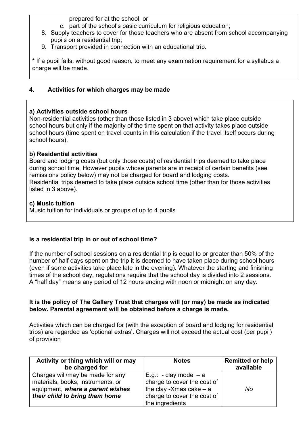prepared for at the school, or

- c. part of the school's basic curriculum for religious education;
- 8. Supply teachers to cover for those teachers who are absent from school accompanying pupils on a residential trip;
- 9. Transport provided in connection with an educational trip.

**\*** If a pupil fails, without good reason, to meet any examination requirement for a syllabus a charge will be made.

#### **4. Activities for which charges may be made**

#### **a) Activities outside school hours**

Non-residential activities (other than those listed in 3 above) which take place outside school hours but only if the majority of the time spent on that activity takes place outside school hours (time spent on travel counts in this calculation if the travel itself occurs during school hours).

#### **b) Residential activities**

Board and lodging costs (but only those costs) of residential trips deemed to take place during school time, However pupils whose parents are in receipt of certain benefits (see remissions policy below) may not be charged for board and lodging costs. Residential trips deemed to take place outside school time (other than for those activities listed in 3 above).

#### **c) Music tuition**

Music tuition for individuals or groups of up to 4 pupils

## **Is a residential trip in or out of school time?**

If the number of school sessions on a residential trip is equal to or greater than 50% of the number of half days spent on the trip it is deemed to have taken place during school hours (even if some activities take place late in the evening). Whatever the starting and finishing times of the school day, regulations require that the school day is divided into 2 sessions. A "half day" means any period of 12 hours ending with noon or midnight on any day.

#### **It is the policy of The Gallery Trust that charges will (or may) be made as indicated below. Parental agreement will be obtained before a charge is made.**

Activities which can be charged for (with the exception of board and lodging for residential trips) are regarded as 'optional extras'. Charges will not exceed the actual cost (per pupil) of provision

| Activity or thing which will or may<br>be charged for                                                                                       | <b>Notes</b>                                                                                                                           | <b>Remitted or help</b><br>available |
|---------------------------------------------------------------------------------------------------------------------------------------------|----------------------------------------------------------------------------------------------------------------------------------------|--------------------------------------|
| Charges will/may be made for any<br>materials, books, instruments, or<br>equipment, where a parent wishes<br>their child to bring them home | E.g.: - clay model $-$ a<br>charge to cover the cost of<br>the clay -Xmas cake $-$ a<br>charge to cover the cost of<br>the ingredients | No                                   |